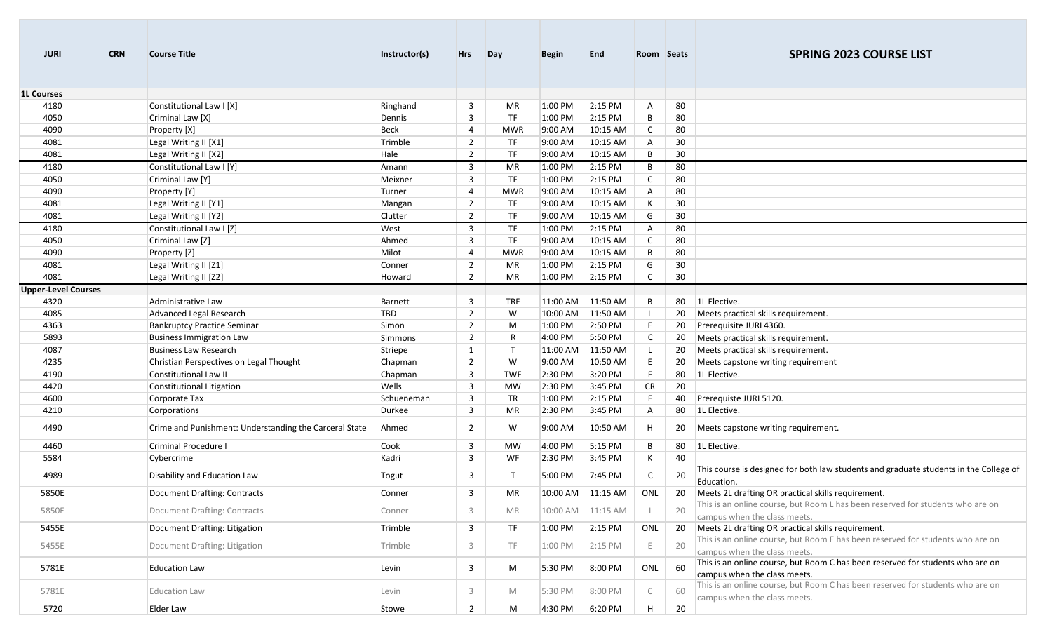| <b>JURI</b>                | <b>CRN</b> | <b>Course Title</b>                                    | Instructor(s)   | Hrs                              | Day          | <b>Begin</b>       | <b>End</b>           | Room Seats   |          | <b>SPRING 2023 COURSE LIST</b>                                                                                 |
|----------------------------|------------|--------------------------------------------------------|-----------------|----------------------------------|--------------|--------------------|----------------------|--------------|----------|----------------------------------------------------------------------------------------------------------------|
| <b>1L Courses</b>          |            |                                                        |                 |                                  |              |                    |                      |              |          |                                                                                                                |
| 4180                       |            | Constitutional Law I [X]                               | Ringhand        | 3                                | MR           | 1:00 PM            | 2:15 PM              | Α            | 80       |                                                                                                                |
| 4050                       |            | Criminal Law [X]                                       | Dennis          | 3                                | <b>TF</b>    | 1:00 PM            | 2:15 PM              | В            | 80       |                                                                                                                |
| 4090                       |            | Property [X]                                           | Beck            | 4                                | <b>MWR</b>   | 9:00 AM            | 10:15 AM             | $\mathsf{C}$ | 80       |                                                                                                                |
| 4081<br>4081               |            | Legal Writing II [X1]                                  | Trimble<br>Hale | $\overline{2}$<br>$\overline{2}$ | TF<br>TF     | 9:00 AM<br>9:00 AM | 10:15 AM<br>10:15 AM | Α<br>B       | 30<br>30 |                                                                                                                |
| 4180                       |            | Legal Writing II [X2]<br>Constitutional Law I [Y]      | Amann           | 3                                | MR           | 1:00 PM            | 2:15 PM              | B            |          |                                                                                                                |
| 4050                       |            | Criminal Law [Y]                                       | Meixner         | 3                                | <b>TF</b>    | 1:00 PM            | 2:15 PM              | C            | 80<br>80 |                                                                                                                |
| 4090                       |            | Property [Y]                                           | Turner          | 4                                | <b>MWR</b>   | 9:00 AM            | 10:15 AM             | Α            | 80       |                                                                                                                |
| 4081                       |            | Legal Writing II [Y1]                                  | Mangan          | $\overline{2}$                   | TF           | 9:00 AM            | 10:15 AM             | К            | 30       |                                                                                                                |
| 4081                       |            | Legal Writing II [Y2]                                  | Clutter         | $\overline{2}$                   | TF           | 9:00 AM            | 10:15 AM             | G            | 30       |                                                                                                                |
| 4180                       |            | Constitutional Law I [Z]                               | West            | 3                                | TF           | 1:00 PM            | 2:15 PM              | A            | 80       |                                                                                                                |
| 4050                       |            | Criminal Law [Z]                                       | Ahmed           | 3                                | TF           | 9:00 AM            | 10:15 AM             | C            | 80       |                                                                                                                |
| 4090                       |            | Property [Z]                                           | Milot           | $\overline{4}$                   | <b>MWR</b>   | 9:00 AM            | 10:15 AM             | В            | 80       |                                                                                                                |
| 4081                       |            | Legal Writing II [Z1]                                  | Conner          | $\overline{2}$                   | MR           | 1:00 PM            | 2:15 PM              | G            | 30       |                                                                                                                |
| 4081                       |            | Legal Writing II [Z2]                                  | Howard          | $\overline{2}$                   | MR           | 1:00 PM            | 2:15 PM              |              | 30       |                                                                                                                |
| <b>Upper-Level Courses</b> |            |                                                        |                 |                                  |              |                    |                      |              |          |                                                                                                                |
| 4320                       |            | Administrative Law                                     | <b>Barnett</b>  | 3                                | TRF          | 11:00 AM           | 11:50 AM             | B            | 80       | 1L Elective.                                                                                                   |
| 4085                       |            | Advanced Legal Research                                | TBD             | $\overline{2}$                   | W            | 10:00 AM           | 11:50 AM             |              | 20       | Meets practical skills requirement.                                                                            |
| 4363                       |            | <b>Bankruptcy Practice Seminar</b>                     | Simon           | $\overline{2}$                   | M            | 1:00 PM            | 2:50 PM              | E            | 20       | Prerequisite JURI 4360.                                                                                        |
| 5893                       |            | <b>Business Immigration Law</b>                        | <b>Simmons</b>  | 2                                | R            | 4:00 PM            | 5:50 PM              | C            | 20       | Meets practical skills requirement.                                                                            |
| 4087                       |            | <b>Business Law Research</b>                           | Striepe         | $\mathbf{1}$                     | $\mathsf{T}$ | 11:00 AM           | 11:50 AM             |              | 20       | Meets practical skills requirement.                                                                            |
| 4235                       |            | Christian Perspectives on Legal Thought                | Chapman         | $\overline{2}$                   | W            | 9:00 AM            | 10:50 AM             | E            | 20       | Meets capstone writing requirement                                                                             |
| 4190                       |            | Constitutional Law II                                  | Chapman         | 3                                | <b>TWF</b>   | 2:30 PM            | 3:20 PM              | E            | 80       | 1L Elective.                                                                                                   |
| 4420                       |            | Constitutional Litigation                              | Wells           | 3                                | MW           | 2:30 PM            | 3:45 PM              | CR           | 20       |                                                                                                                |
| 4600                       |            | Corporate Tax                                          | Schueneman      | 3                                | TR           | 1:00 PM            | 2:15 PM              | F            | 40       | Prerequiste JURI 5120.                                                                                         |
| 4210                       |            | Corporations                                           | Durkee          | 3                                | MR           | 2:30 PM            | 3:45 PM              | Α            | 80       | 1L Elective.                                                                                                   |
| 4490                       |            | Crime and Punishment: Understanding the Carceral State | Ahmed           | $\overline{2}$                   | W            | 9:00 AM            | 10:50 AM             | н            | 20       | Meets capstone writing requirement.                                                                            |
| 4460                       |            | <b>Criminal Procedure I</b>                            | Cook            | 3                                | MW           | 4:00 PM            | 5:15 PM              | В            | 80       | 1L Elective.                                                                                                   |
| 5584                       |            | Cybercrime                                             | Kadri           | 3                                | WF           | 2:30 PM            | 3:45 PM              | K            | 40       |                                                                                                                |
| 4989                       |            | Disability and Education Law                           | Togut           | $\overline{3}$                   | Т            | 5:00 PM            | 7:45 PM              | C            | 20       | This course is designed for both law students and graduate students in the College of<br>Education.            |
| 5850E                      |            | <b>Document Drafting: Contracts</b>                    | Conner          | 3                                | MR           |                    | 10:00 AM 11:15 AM    | ONL          | 20       | Meets 2L drafting OR practical skills requirement.                                                             |
| 5850E                      |            | Document Drafting: Contracts                           | Conner          | 3                                | MR           | 10:00 AM           | 11:15 AM             |              | 20       | This is an online course, but Room L has been reserved for students who are on<br>campus when the class meets. |
| 5455E                      |            | Document Drafting: Litigation                          | Trimble         | 3                                | TF           | 1:00 PM            | 2:15 PM              | ONL          | 20       | Meets 2L drafting OR practical skills requirement.                                                             |
| 5455E                      |            | Document Drafting: Litigation                          | Trimble         | 3                                | TF           | 1:00 PM            | 2:15 PM              |              | 20       | This is an online course, but Room E has been reserved for students who are on<br>campus when the class meets. |
| 5781E                      |            | <b>Education Law</b>                                   | Levin           | 3                                | M            | 5:30 PM            | 8:00 PM              | ONL          | 60       | This is an online course, but Room C has been reserved for students who are on<br>campus when the class meets. |
| 5781E                      |            | <b>Education Law</b>                                   | Levin           | 3                                | M            | 5:30 PM            | 8:00 PM              |              | 60       | This is an online course, but Room C has been reserved for students who are on<br>campus when the class meets. |
| 5720                       |            | Elder Law                                              | Stowe           | $\overline{2}$                   | M            | 4:30 PM            | 6:20 PM              | H            | 20       |                                                                                                                |

**College**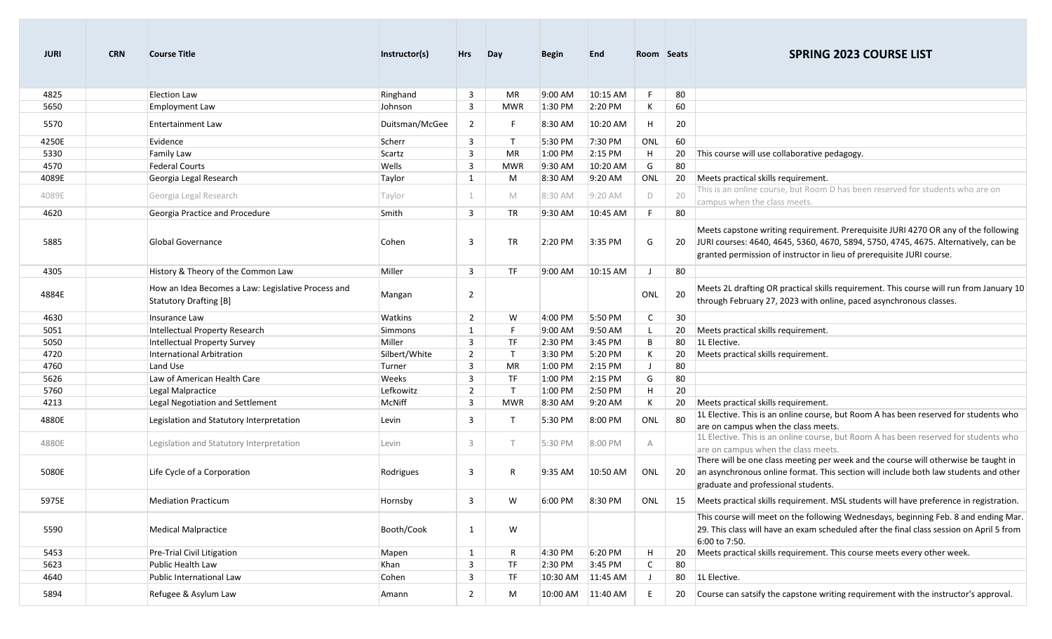| <b>JURI</b> | <b>CRN</b> | <b>Course Title</b>                                                          | Instructor(s)  | <b>Hrs</b>     | Day          | <b>Begin</b> | <b>End</b>        | Room Seats   |    | <b>SPRING 2023 COURSE LIST</b>                                                                                                                                                                                                                        |
|-------------|------------|------------------------------------------------------------------------------|----------------|----------------|--------------|--------------|-------------------|--------------|----|-------------------------------------------------------------------------------------------------------------------------------------------------------------------------------------------------------------------------------------------------------|
| 4825        |            | <b>Election Law</b>                                                          | Ringhand       | $\mathbf{3}$   | MR           | 9:00 AM      | 10:15 AM          | F            | 80 |                                                                                                                                                                                                                                                       |
| 5650        |            | Employment Law                                                               | Johnson        | 3              | MWR          | 1:30 PM      | 2:20 PM           | К            | 60 |                                                                                                                                                                                                                                                       |
| 5570        |            | <b>Entertainment Law</b>                                                     | Duitsman/McGee | $\overline{2}$ | F.           | 8:30 AM      | 10:20 AM          | H            | 20 |                                                                                                                                                                                                                                                       |
| 4250E       |            | Evidence                                                                     | Scherr         | 3              | $\mathsf{T}$ | 5:30 PM      | 7:30 PM           | ONL          | 60 |                                                                                                                                                                                                                                                       |
| 5330        |            | <b>Family Law</b>                                                            | Scartz         | 3              | MR           | 1:00 PM      | 2:15 PM           | H            | 20 | This course will use collaborative pedagogy.                                                                                                                                                                                                          |
| 4570        |            | <b>Federal Courts</b>                                                        | Wells          | 3              | <b>MWR</b>   | 9:30 AM      | 10:20 AM          | G            | 80 |                                                                                                                                                                                                                                                       |
| 4089E       |            | Georgia Legal Research                                                       | Taylor         | 1              | M            | 8:30 AM      | 9:20 AM           | ONL          | 20 | Meets practical skills requirement.                                                                                                                                                                                                                   |
| 4089E       |            | Georgia Legal Research                                                       | Taylor         | 1              | M            | 8:30 AM      | 9:20 AM           | D            | 20 | This is an online course, but Room D has been reserved for students who are on<br>campus when the class meets.                                                                                                                                        |
| 4620        |            | Georgia Practice and Procedure                                               | Smith          | 3              | <b>TR</b>    | 9:30 AM      | 10:45 AM          | E            | 80 |                                                                                                                                                                                                                                                       |
| 5885        |            | Global Governance                                                            | Cohen          | 3              | <b>TR</b>    | 2:20 PM      | 3:35 PM           | G            |    | Meets capstone writing requirement. Prerequisite JURI 4270 OR any of the following<br>20 JURI courses: 4640, 4645, 5360, 4670, 5894, 5750, 4745, 4675. Alternatively, can be<br>granted permission of instructor in lieu of prerequisite JURI course. |
| 4305        |            | History & Theory of the Common Law                                           | Miller         | 3              | <b>TF</b>    | 9:00 AM      | 10:15 AM          | - 1          | 80 |                                                                                                                                                                                                                                                       |
| 4884E       |            | How an Idea Becomes a Law: Legislative Process and<br>Statutory Drafting [B] | Mangan         | $\overline{2}$ |              |              |                   | ONL          | 20 | Meets 2L drafting OR practical skills requirement. This course will run from January 10<br>through February 27, 2023 with online, paced asynchronous classes.                                                                                         |
| 4630        |            | Insurance Law                                                                | Watkins        | $\overline{2}$ | W            | 4:00 PM      | 5:50 PM           | $\mathsf{C}$ | 30 |                                                                                                                                                                                                                                                       |
| 5051        |            | Intellectual Property Research                                               | Simmons        | $\mathbf{1}$   | F.           | 9:00 AM      | 9:50 AM           | L            | 20 | Meets practical skills requirement.                                                                                                                                                                                                                   |
| 5050        |            | Intellectual Property Survey                                                 | Miller         | 3              | <b>TF</b>    | 2:30 PM      | 3:45 PM           | B            | 80 | 1L Elective.                                                                                                                                                                                                                                          |
| 4720        |            | International Arbitration                                                    | Silbert/White  | $\overline{2}$ | $\mathsf{T}$ | 3:30 PM      | 5:20 PM           | К            | 20 | Meets practical skills requirement.                                                                                                                                                                                                                   |
| 4760        |            | Land Use                                                                     | Turner         | 3              | MR           | 1:00 PM      | $2:15$ PM         | $\perp$      | 80 |                                                                                                                                                                                                                                                       |
| 5626        |            | Law of American Health Care                                                  | <b>Weeks</b>   | 3              | TF           | 1:00 PM      | 2:15 PM           | G            | 80 |                                                                                                                                                                                                                                                       |
| 5760        |            | Legal Malpractice                                                            | Lefkowitz      | $\overline{2}$ | $\mathsf{T}$ | 1:00 PM      | 2:50 PM           | H            | 20 |                                                                                                                                                                                                                                                       |
| 4213        |            | Legal Negotiation and Settlement                                             | McNiff         | 3              | MWR          | 8:30 AM      | 9:20 AM           | К            | 20 | Meets practical skills requirement.                                                                                                                                                                                                                   |
| 4880E       |            | Legislation and Statutory Interpretation                                     | Levin          | 3              | $\mathsf{T}$ | 5:30 PM      | 8:00 PM           | ONL          | 80 | 1L Elective. This is an online course, but Room A has been reserved for students who<br>are on campus when the class meets.                                                                                                                           |
| 4880E       |            | Legislation and Statutory Interpretation                                     | Levin          | 3              | $\top$       | 5:30 PM      | 8:00 PM           | A            |    | 1L Elective. This is an online course, but Room A has been reserved for students who<br>are on campus when the class meets.                                                                                                                           |
| 5080E       |            | Life Cycle of a Corporation                                                  | Rodrigues      | 3              | R            | 9:35 AM      | 10:50 AM          | ONL          | 20 | There will be one class meeting per week and the course will otherwise be taught in<br>an asynchronous online format. This section will include both law students and other<br>graduate and professional students.                                    |
| 5975E       |            | <b>Mediation Practicum</b>                                                   | Hornsby        | 3              | W            | 6:00 PM      | 8:30 PM           | ONL          |    | 15 Meets practical skills requirement. MSL students will have preference in registration.                                                                                                                                                             |
| 5590        |            | <b>Medical Malpractice</b>                                                   | Booth/Cook     | $\mathbf{1}$   | W            |              |                   |              |    | This course will meet on the following Wednesdays, beginning Feb. 8 and ending Mar.<br>29. This class will have an exam scheduled after the final class session on April 5 from<br>6:00 to 7:50.                                                      |
| 5453        |            | Pre-Trial Civil Litigation                                                   | Mapen          | $\mathbf{1}$   | R            | 4:30 PM      | 6:20 PM           | H            | 20 | Meets practical skills requirement. This course meets every other week.                                                                                                                                                                               |
| 5623        |            | Public Health Law                                                            | Khan           | 3              | TF           | 2:30 PM      | 3:45 PM           | $\mathsf{C}$ | 80 |                                                                                                                                                                                                                                                       |
| 4640        |            | Public International Law                                                     | Cohen          | 3              | TF           |              | 10:30 AM 11:45 AM | J            |    | 80 1L Elective.                                                                                                                                                                                                                                       |
| 5894        |            | Refugee & Asylum Law                                                         | Amann          | $\overline{2}$ | M            |              | 10:00 AM 11:40 AM | E.           |    | 20 Course can satsify the capstone writing requirement with the instructor's approval.                                                                                                                                                                |

m.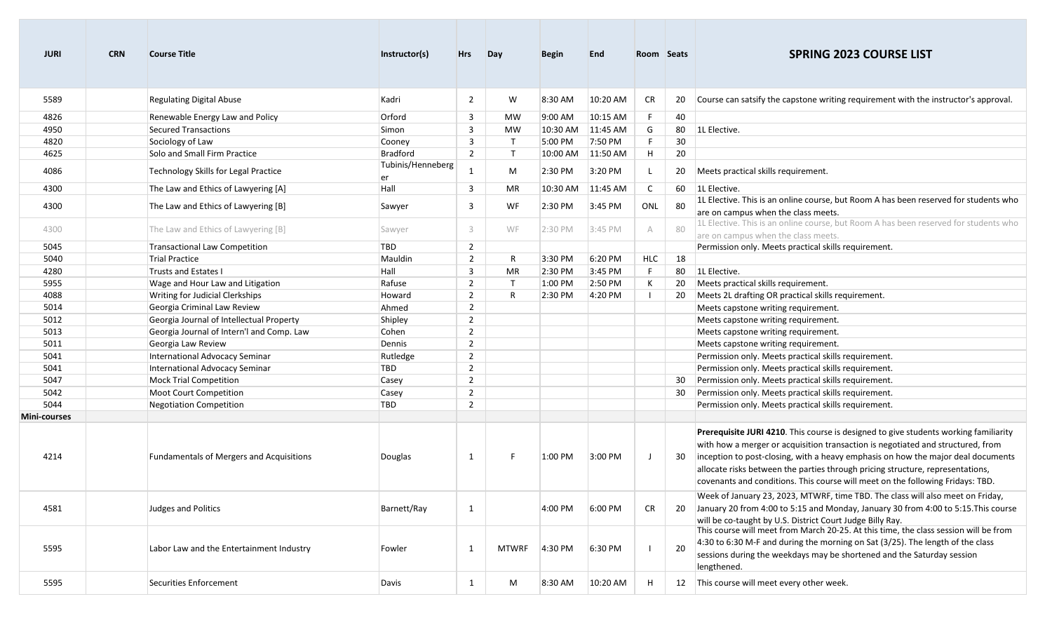| <b>JURI</b>  | <b>CRN</b> | <b>Course Title</b>                             | Instructor(s)           | <b>Hrs</b>     | Day          | <b>Begin</b> | <b>End</b>        | Room Seats |     | <b>SPRING 2023 COURSE LIST</b>                                                                                                                                                                                                                                                                                                                                                                                                  |
|--------------|------------|-------------------------------------------------|-------------------------|----------------|--------------|--------------|-------------------|------------|-----|---------------------------------------------------------------------------------------------------------------------------------------------------------------------------------------------------------------------------------------------------------------------------------------------------------------------------------------------------------------------------------------------------------------------------------|
| 5589         |            | <b>Regulating Digital Abuse</b>                 | Kadri                   | $\overline{2}$ | W            | 8:30 AM      | 10:20 AM          | <b>CR</b>  | 20  | Course can satsify the capstone writing requirement with the instructor's approval.                                                                                                                                                                                                                                                                                                                                             |
| 4826         |            | Renewable Energy Law and Policy                 | Orford                  | 3              | <b>MW</b>    | 9:00 AM      | 10:15 AM          | F.         | 40  |                                                                                                                                                                                                                                                                                                                                                                                                                                 |
| 4950         |            | Secured Transactions                            | Simon                   | 3              | <b>MW</b>    | 10:30 AM     | 11:45 AM          | G          | 80  | 1L Elective.                                                                                                                                                                                                                                                                                                                                                                                                                    |
| 4820         |            | Sociology of Law                                | Cooney                  | 3              | $\mathsf{T}$ | 5:00 PM      | 7:50 PM           | F          | 30  |                                                                                                                                                                                                                                                                                                                                                                                                                                 |
| 4625         |            | Solo and Small Firm Practice                    | Bradford                | $\overline{2}$ | $\mathsf{T}$ | 10:00 AM     | 11:50 AM          | H          | 20  |                                                                                                                                                                                                                                                                                                                                                                                                                                 |
| 4086         |            | Technology Skills for Legal Practice            | Tubinis/Henneberg<br>er | $\mathbf{1}$   | M            | 2:30 PM      | 3:20 PM           | L          | 20  | Meets practical skills requirement.                                                                                                                                                                                                                                                                                                                                                                                             |
| 4300         |            | The Law and Ethics of Lawyering [A]             | Hall                    | 3              | MR           | 10:30 AM     | 11:45 AM          | C          |     | 60 1L Elective.                                                                                                                                                                                                                                                                                                                                                                                                                 |
| 4300         |            | The Law and Ethics of Lawyering [B]             | Sawyer                  | 3              | WF           | 2:30 PM      | 3:45 PM           | ONL        | -80 | 1L Elective. This is an online course, but Room A has been reserved for students who<br>are on campus when the class meets.                                                                                                                                                                                                                                                                                                     |
| 4300         |            | The Law and Ethics of Lawyering [B]             | Sawyer                  | 3              | WF           | 2:30 PM      | $3:45 \text{ PM}$ | A          | 80  | 1L Elective. This is an online course, but Room A has been reserved for students who<br>are on campus when the class meets.                                                                                                                                                                                                                                                                                                     |
| 5045         |            | Transactional Law Competition                   | <b>TBD</b>              | $\overline{2}$ |              |              |                   |            |     | Permission only. Meets practical skills requirement.                                                                                                                                                                                                                                                                                                                                                                            |
| 5040         |            | Trial Practice                                  | Mauldin                 | $\overline{2}$ | R            | 3:30 PM      | 6:20 PM           | <b>HLC</b> | 18  |                                                                                                                                                                                                                                                                                                                                                                                                                                 |
| 4280         |            | <b>Trusts and Estates I</b>                     | Hall                    | 3              | MR           | 2:30 PM      | 3:45 PM           | F.         | 80  | 1L Elective.                                                                                                                                                                                                                                                                                                                                                                                                                    |
| 5955         |            | Wage and Hour Law and Litigation                | Rafuse                  | $\overline{2}$ | $\mathsf{T}$ | 1:00 PM      | 2:50 PM           | К          | 20  | Meets practical skills requirement.                                                                                                                                                                                                                                                                                                                                                                                             |
| 4088         |            | Writing for Judicial Clerkships                 | Howard                  | $\overline{2}$ | R            | 2:30 PM      | 4:20 PM           |            |     | 20 Meets 2L drafting OR practical skills requirement.                                                                                                                                                                                                                                                                                                                                                                           |
| 5014         |            | Georgia Criminal Law Review                     | Ahmed                   | $\overline{2}$ |              |              |                   |            |     | Meets capstone writing requirement.                                                                                                                                                                                                                                                                                                                                                                                             |
| 5012         |            | Georgia Journal of Intellectual Property        | Shipley                 | $\overline{2}$ |              |              |                   |            |     | Meets capstone writing requirement.                                                                                                                                                                                                                                                                                                                                                                                             |
| 5013         |            | Georgia Journal of Intern'l and Comp. Law       | Cohen                   | $\overline{2}$ |              |              |                   |            |     | Meets capstone writing requirement.                                                                                                                                                                                                                                                                                                                                                                                             |
| 5011         |            | Georgia Law Review                              | Dennis                  | $\overline{2}$ |              |              |                   |            |     | Meets capstone writing requirement.                                                                                                                                                                                                                                                                                                                                                                                             |
| 5041         |            | International Advocacy Seminar                  | Rutledge                | $\overline{2}$ |              |              |                   |            |     | Permission only. Meets practical skills requirement.                                                                                                                                                                                                                                                                                                                                                                            |
| 5041         |            | International Advocacy Seminar                  | TBD                     | $\overline{2}$ |              |              |                   |            |     | Permission only. Meets practical skills requirement.                                                                                                                                                                                                                                                                                                                                                                            |
| 5047         |            | <b>Mock Trial Competition</b>                   | Casey                   | $\overline{2}$ |              |              |                   |            |     | 30 Permission only. Meets practical skills requirement.                                                                                                                                                                                                                                                                                                                                                                         |
| 5042         |            | Moot Court Competition                          | Casey                   | $\overline{2}$ |              |              |                   |            | 30  | Permission only. Meets practical skills requirement.                                                                                                                                                                                                                                                                                                                                                                            |
| 5044         |            | Negotiation Competition                         | TBD                     | $\overline{2}$ |              |              |                   |            |     | Permission only. Meets practical skills requirement.                                                                                                                                                                                                                                                                                                                                                                            |
| Mini-courses |            |                                                 |                         |                |              |              |                   |            |     |                                                                                                                                                                                                                                                                                                                                                                                                                                 |
| 4214         |            | <b>Fundamentals of Mergers and Acquisitions</b> | Douglas                 | 1              | F            | 1:00 PM      | 3:00 PM           | J          | 30  | Prerequisite JURI 4210. This course is designed to give students working familiarity<br>with how a merger or acquisition transaction is negotiated and structured, from<br>inception to post-closing, with a heavy emphasis on how the major deal documents<br>allocate risks between the parties through pricing structure, representations,<br>covenants and conditions. This course will meet on the following Fridays: TBD. |
| 4581         |            | Judges and Politics                             | Barnett/Ray             | 1              |              | 4:00 PM      | 6:00 PM           | <b>CR</b>  | 20  | Week of January 23, 2023, MTWRF, time TBD. The class will also meet on Friday,<br>January 20 from 4:00 to 5:15 and Monday, January 30 from 4:00 to 5:15. This course<br>will be co-taught by U.S. District Court Judge Billy Ray.                                                                                                                                                                                               |
| 5595         |            | Labor Law and the Entertainment Industry        | Fowler                  | 1              | <b>MTWRF</b> | 4:30 PM      | 6:30 PM           |            | 20  | This course will meet from March 20-25. At this time, the class session will be from<br>4:30 to 6:30 M-F and during the morning on Sat (3/25). The length of the class<br>sessions during the weekdays may be shortened and the Saturday session<br>lengthened.                                                                                                                                                                 |
| 5595         |            | Securities Enforcement                          | Davis                   | $\mathbf{1}$   | M            | 8:30 AM      | 10:20 AM          | H          | 12  | This course will meet every other week.                                                                                                                                                                                                                                                                                                                                                                                         |

m.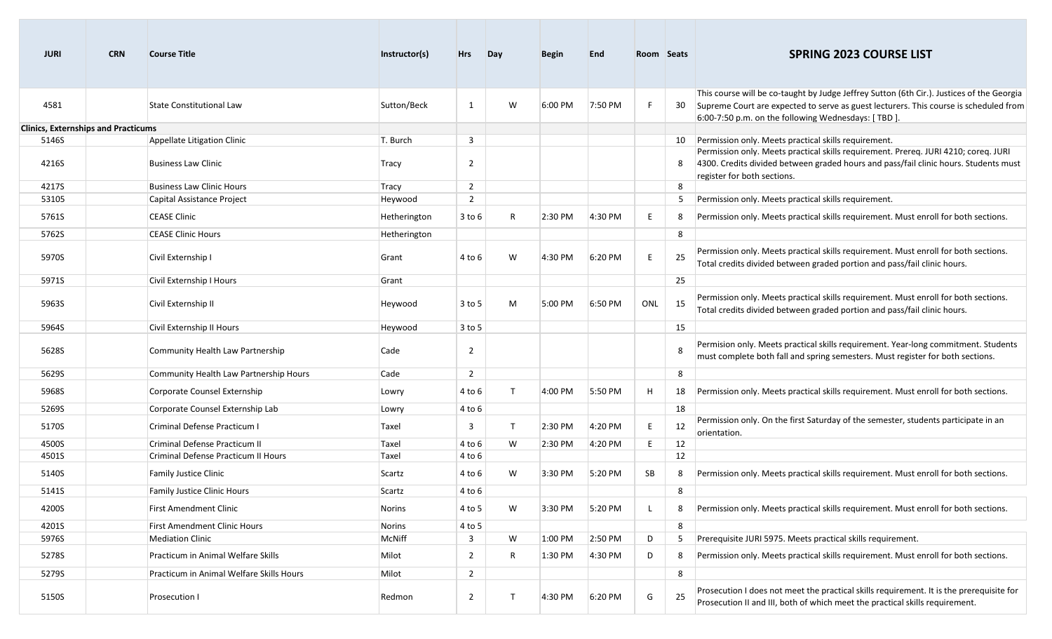| <b>JURI</b>                                | <b>CRN</b> | <b>Course Title</b>                                       | Instructor(s)     | <b>Hrs</b>          | Day          | <b>Begin</b> | <b>End</b> | Room Seats |    | <b>SPRING 2023 COURSE LIST</b>                                                                                                                                                                                                                                     |
|--------------------------------------------|------------|-----------------------------------------------------------|-------------------|---------------------|--------------|--------------|------------|------------|----|--------------------------------------------------------------------------------------------------------------------------------------------------------------------------------------------------------------------------------------------------------------------|
| 4581                                       |            | <b>State Constitutional Law</b>                           | Sutton/Beck       | 1                   | W            | 6:00 PM      | 7:50 PM    |            |    | This course will be co-taught by Judge Jeffrey Sutton (6th Cir.). Justices of the Georgia<br>30 Supreme Court are expected to serve as guest lecturers. This course is scheduled from<br>6:00-7:50 p.m. on the following Wednesdays: [TBD ].                       |
| <b>Clinics, Externships and Practicums</b> |            |                                                           |                   |                     |              |              |            |            |    |                                                                                                                                                                                                                                                                    |
| 5146S<br>4216S                             |            | Appellate Litigation Clinic<br><b>Business Law Clinic</b> | T. Burch<br>Tracy | 3<br>$\overline{2}$ |              |              |            |            |    | Permission only. Meets practical skills requirement.<br>Permission only. Meets practical skills requirement. Prereq. JURI 4210; coreq. JURI<br>4300. Credits divided between graded hours and pass/fail clinic hours. Students must<br>register for both sections. |
| 4217S                                      |            | <b>Business Law Clinic Hours</b>                          | Tracy             | $\overline{2}$      |              |              |            |            | 8  |                                                                                                                                                                                                                                                                    |
| 53105                                      |            | Capital Assistance Project                                | Heywood           | $\overline{2}$      |              |              |            |            | 5  | Permission only. Meets practical skills requirement.                                                                                                                                                                                                               |
| 5761S                                      |            | <b>CEASE Clinic</b>                                       | Hetherington      | 3 to 6              | R            | 2:30 PM      | 4:30 PM    | E          | 8  | Permission only. Meets practical skills requirement. Must enroll for both sections.                                                                                                                                                                                |
| 5762S                                      |            | <b>CEASE Clinic Hours</b>                                 | Hetherington      |                     |              |              |            |            | 8  |                                                                                                                                                                                                                                                                    |
| 5970S                                      |            | Civil Externship I                                        | Grant             | 4 to 6              | W            | 4:30 PM      | 6:20 PM    | E          | 25 | Permission only. Meets practical skills requirement. Must enroll for both sections.<br>Total credits divided between graded portion and pass/fail clinic hours.                                                                                                    |
| 5971S                                      |            | Civil Externship I Hours                                  | Grant             |                     |              |              |            |            | 25 |                                                                                                                                                                                                                                                                    |
| 5963S                                      |            | Civil Externship II                                       | Heywood           | 3 to 5              | M            | 5:00 PM      | 6:50 PM    | ONL        | 15 | Permission only. Meets practical skills requirement. Must enroll for both sections.<br>Total credits divided between graded portion and pass/fail clinic hours.                                                                                                    |
| 5964S                                      |            | Civil Externship II Hours                                 | Heywood           | 3 to 5              |              |              |            |            | 15 |                                                                                                                                                                                                                                                                    |
| 5628S                                      |            | Community Health Law Partnership                          | Cade              | $\overline{2}$      |              |              |            |            |    | Permision only. Meets practical skills requirement. Year-long commitment. Students<br>must complete both fall and spring semesters. Must register for both sections.                                                                                               |
| 5629S                                      |            | Community Health Law Partnership Hours                    | Cade              | $\overline{2}$      |              |              |            |            | 8  |                                                                                                                                                                                                                                                                    |
| 5968S                                      |            | Corporate Counsel Externship                              | Lowry             | 4 to 6              | $\mathsf{T}$ | 4:00 PM      | 5:50 PM    | H          | 18 | Permission only. Meets practical skills requirement. Must enroll for both sections.                                                                                                                                                                                |
| 5269S                                      |            | Corporate Counsel Externship Lab                          | Lowry             | 4 to 6              |              |              |            |            | 18 |                                                                                                                                                                                                                                                                    |
| 5170S                                      |            | Criminal Defense Practicum I                              | Taxel             | 3                   | $\mathsf{T}$ | 2:30 PM      | 4:20 PM    | F          | 12 | Permission only. On the first Saturday of the semester, students participate in an<br>orientation.                                                                                                                                                                 |
| 4500S                                      |            | Criminal Defense Practicum II                             | Taxel             | 4 to 6              | W            | 2:30 PM      | 4:20 PM    | E.         | 12 |                                                                                                                                                                                                                                                                    |
| 4501S                                      |            | Criminal Defense Practicum II Hours                       | Taxel             | 4 to 6              |              |              |            |            | 12 |                                                                                                                                                                                                                                                                    |
| 5140S                                      |            | <b>Family Justice Clinic</b>                              | Scartz            | 4 to 6              | W            | 3:30 PM      | 5:20 PM    | SB         |    | Permission only. Meets practical skills requirement. Must enroll for both sections.                                                                                                                                                                                |
| 5141S                                      |            | Family Justice Clinic Hours                               | Scartz            | 4 to 6              |              |              |            |            | 8  |                                                                                                                                                                                                                                                                    |
| 4200S                                      |            | <b>First Amendment Clinic</b>                             | Norins            | 4 to 5              | W            | 3:30 PM      | 5:20 PM    |            | 8  | Permission only. Meets practical skills requirement. Must enroll for both sections.                                                                                                                                                                                |
| 4201S                                      |            | First Amendment Clinic Hours                              | Norins            | 4 to 5              |              |              |            |            | 8  |                                                                                                                                                                                                                                                                    |
| 5976S                                      |            | <b>Mediation Clinic</b>                                   | McNiff            | 3                   | W            | 1:00 PM      | 2:50 PM    | D          | 5  | Prerequisite JURI 5975. Meets practical skills requirement.                                                                                                                                                                                                        |
| 5278S                                      |            | Practicum in Animal Welfare Skills                        | Milot             | $\overline{2}$      | R            | 1:30 PM      | 4:30 PM    | D          | 8  | Permission only. Meets practical skills requirement. Must enroll for both sections.                                                                                                                                                                                |
| 5279S                                      |            | Practicum in Animal Welfare Skills Hours                  | Milot             | $\overline{2}$      |              |              |            |            | 8  |                                                                                                                                                                                                                                                                    |
| 5150S                                      |            | Prosecution I                                             | Redmon            | $\overline{2}$      | Т            | 4:30 PM      | 6:20 PM    | G          | 25 | Prosecution I does not meet the practical skills requirement. It is the prerequisite for<br>Prosecution II and III, both of which meet the practical skills requirement.                                                                                           |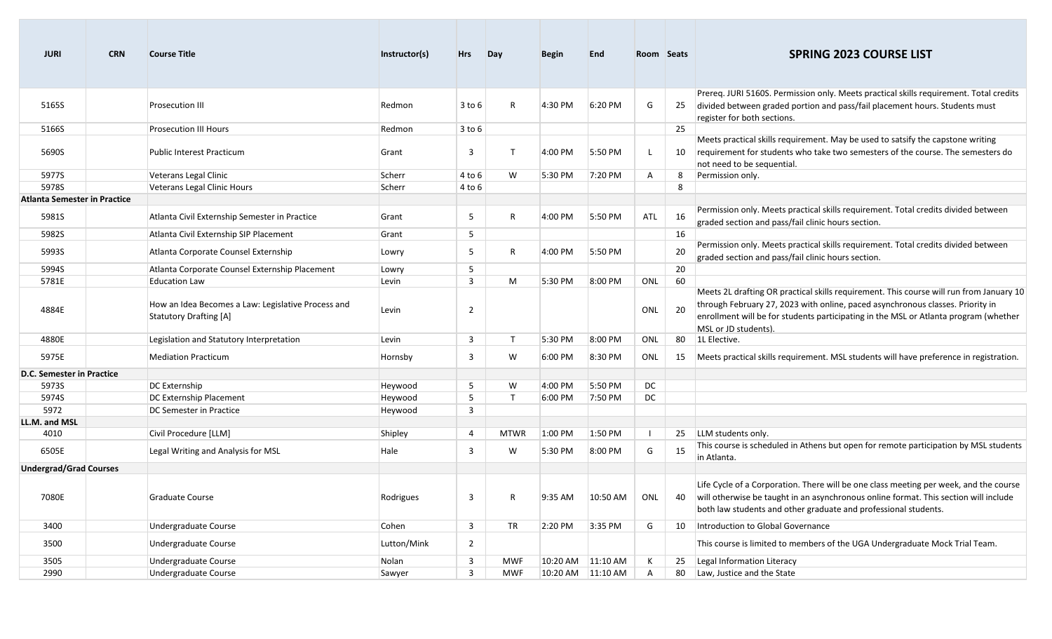| <b>JURI</b>                         | <b>CRN</b> | <b>Course Title</b>                                                          | Instructor(s) | <b>Hrs</b>     | Day          | <b>Begin</b>      | <b>End</b> | Room Seats     |    | <b>SPRING 2023 COURSE LIST</b>                                                                                                                                                                                                                                                            |
|-------------------------------------|------------|------------------------------------------------------------------------------|---------------|----------------|--------------|-------------------|------------|----------------|----|-------------------------------------------------------------------------------------------------------------------------------------------------------------------------------------------------------------------------------------------------------------------------------------------|
| 5165S                               |            | <b>Prosecution III</b>                                                       | Redmon        | $3$ to $6$     | R            | 4:30 PM           | 6:20 PM    | G              | 25 | Prereq. JURI 5160S. Permission only. Meets practical skills requirement. Total credits<br>divided between graded portion and pass/fail placement hours. Students must<br>register for both sections.                                                                                      |
| 5166S                               |            | <b>Prosecution III Hours</b>                                                 | Redmon        | $3$ to $6$     |              |                   |            |                | 25 |                                                                                                                                                                                                                                                                                           |
| 5690S                               |            | <b>Public Interest Practicum</b>                                             | Grant         | 3              | $\mathsf{T}$ | 4:00 PM           | 5:50 PM    |                | 10 | Meets practical skills requirement. May be used to satsify the capstone writing<br>requirement for students who take two semesters of the course. The semesters do<br>not need to be sequential.                                                                                          |
| 5977S                               |            | Veterans Legal Clinic                                                        | Scherr        | 4 to 6         | W            | 5:30 PM           | 7:20 PM    | A              | 8  | Permission only.                                                                                                                                                                                                                                                                          |
| 5978S                               |            | Veterans Legal Clinic Hours                                                  | Scherr        | 4 to 6         |              |                   |            |                | 8  |                                                                                                                                                                                                                                                                                           |
| <b>Atlanta Semester in Practice</b> |            |                                                                              |               |                |              |                   |            |                |    |                                                                                                                                                                                                                                                                                           |
| 5981S                               |            | Atlanta Civil Externship Semester in Practice                                | Grant         | 5              | R            | 4:00 PM           | 5:50 PM    | ATL            | 16 | Permission only. Meets practical skills requirement. Total credits divided between<br>graded section and pass/fail clinic hours section.                                                                                                                                                  |
| 5982S                               |            | Atlanta Civil Externship SIP Placement                                       | Grant         | 5              |              |                   |            |                | 16 |                                                                                                                                                                                                                                                                                           |
| 5993S                               |            | Atlanta Corporate Counsel Externship                                         | Lowry         | 5              | R            | 4:00 PM           | 5:50 PM    |                | 20 | Permission only. Meets practical skills requirement. Total credits divided between<br>graded section and pass/fail clinic hours section.                                                                                                                                                  |
| 5994S                               |            | Atlanta Corporate Counsel Externship Placement                               | Lowry         | 5              |              |                   |            |                | 20 |                                                                                                                                                                                                                                                                                           |
| 5781E                               |            | <b>Education Law</b>                                                         | Levin         | $\overline{3}$ | M            | 5:30 PM           | 8:00 PM    | ONL            | 60 |                                                                                                                                                                                                                                                                                           |
| 4884E                               |            | How an Idea Becomes a Law: Legislative Process and<br>Statutory Drafting [A] | Levin         | $\overline{2}$ |              |                   |            | ONL            | 20 | Meets 2L drafting OR practical skills requirement. This course will run from January 10<br>through February 27, 2023 with online, paced asynchronous classes. Priority in<br>enrollment will be for students participating in the MSL or Atlanta program (whether<br>MSL or JD students). |
| 4880E                               |            | Legislation and Statutory Interpretation                                     | Levin         | $\mathbf{3}$   | $\top$       | 5:30 PM           | 8:00 PM    | ONL            | 80 | 1L Elective.                                                                                                                                                                                                                                                                              |
| 5975E                               |            | <b>Mediation Practicum</b>                                                   | Hornsby       | 3              | W            | 6:00 PM           | 8:30 PM    | ONL            | 15 | Meets practical skills requirement. MSL students will have preference in registration.                                                                                                                                                                                                    |
| D.C. Semester in Practice           |            |                                                                              |               |                |              |                   |            |                |    |                                                                                                                                                                                                                                                                                           |
| 5973S                               |            | DC Externship                                                                | Heywood       | 5              | W            | 4:00 PM           | 5:50 PM    | DC             |    |                                                                                                                                                                                                                                                                                           |
| 5974S                               |            | DC Externship Placement                                                      | Heywood       | 5              | $\mathsf{T}$ | 6:00 PM           | 7:50 PM    | DC             |    |                                                                                                                                                                                                                                                                                           |
| 5972                                |            | DC Semester in Practice                                                      | Heywood       | 3              |              |                   |            |                |    |                                                                                                                                                                                                                                                                                           |
| LL.M. and MSL                       |            |                                                                              |               |                |              |                   |            |                |    |                                                                                                                                                                                                                                                                                           |
| 4010                                |            | Civil Procedure [LLM]                                                        | Shipley       | $\overline{4}$ | <b>MTWR</b>  | 1:00 PM           | 1:50 PM    | $\blacksquare$ | 25 | LLM students only.                                                                                                                                                                                                                                                                        |
| 6505E                               |            | Legal Writing and Analysis for MSL                                           | Hale          | 3              | W            | 5:30 PM           | 8:00 PM    | G              | 15 | This course is scheduled in Athens but open for remote participation by MSL students<br>in Atlanta.                                                                                                                                                                                       |
| <b>Undergrad/Grad Courses</b>       |            |                                                                              |               |                |              |                   |            |                |    |                                                                                                                                                                                                                                                                                           |
| 7080E                               |            | Graduate Course                                                              | Rodrigues     | $\mathbf{3}$   | R            | 9:35 AM           | 10:50 AM   | ONL            | 40 | Life Cycle of a Corporation. There will be one class meeting per week, and the course<br>will otherwise be taught in an asynchronous online format. This section will include<br>both law students and other graduate and professional students.                                          |
| 3400                                |            | Undergraduate Course                                                         | Cohen         | $\mathbf{3}$   | TR           | 2:20 PM           | 3:35 PM    | G              |    | 10   Introduction to Global Governance                                                                                                                                                                                                                                                    |
| 3500                                |            | <b>Undergraduate Course</b>                                                  | Lutton/Mink   | $\overline{2}$ |              |                   |            |                |    | This course is limited to members of the UGA Undergraduate Mock Trial Team.                                                                                                                                                                                                               |
| 3505                                |            | Undergraduate Course                                                         | Nolan         | 3              | MWF          | 10:20 AM 11:10 AM |            | К              | 25 | Legal Information Literacy                                                                                                                                                                                                                                                                |
| 2990                                |            | Undergraduate Course                                                         | Sawyer        | $\overline{3}$ | MWF          | 10:20 AM 11:10 AM |            | A              |    | 80 Law, Justice and the State                                                                                                                                                                                                                                                             |